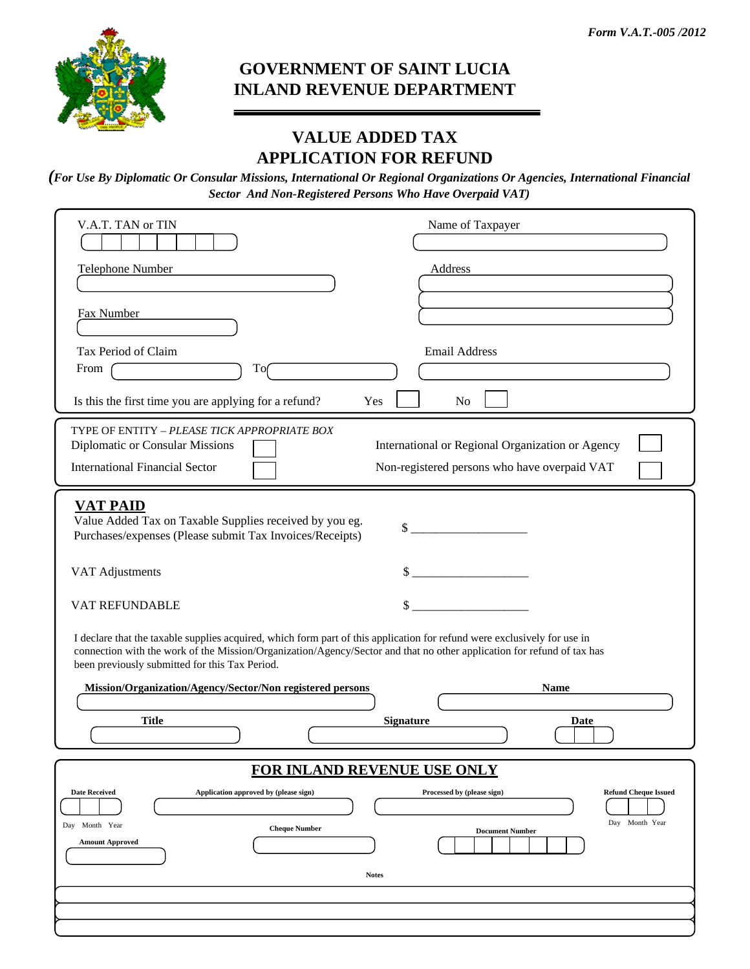

## **GOVERNMENT OF SAINT LUCIA INLAND REVENUE DEPARTMENT**

## **VALUE ADDED TAX APPLICATION FOR REFUND**

*(For Use By Diplomatic Or Consular Missions, International Or Regional Organizations Or Agencies, International Financial Sector And Non-Registered Persons Who Have Overpaid VAT)*

| V.A.T. TAN or TIN<br>Name of Taxpayer                                                                                                                                                                                                                                                                |  |  |  |  |  |
|------------------------------------------------------------------------------------------------------------------------------------------------------------------------------------------------------------------------------------------------------------------------------------------------------|--|--|--|--|--|
| Telephone Number<br>Address                                                                                                                                                                                                                                                                          |  |  |  |  |  |
| Fax Number                                                                                                                                                                                                                                                                                           |  |  |  |  |  |
| Tax Period of Claim<br><b>Email Address</b><br>To<br>From                                                                                                                                                                                                                                            |  |  |  |  |  |
| Is this the first time you are applying for a refund?<br>Yes<br>No                                                                                                                                                                                                                                   |  |  |  |  |  |
| TYPE OF ENTITY - PLEASE TICK APPROPRIATE BOX<br>Diplomatic or Consular Missions<br>International or Regional Organization or Agency<br><b>International Financial Sector</b><br>Non-registered persons who have overpaid VAT                                                                         |  |  |  |  |  |
| <b>VAT PAID</b><br>Value Added Tax on Taxable Supplies received by you eg.<br>$\mathbb{S}$<br>Purchases/expenses (Please submit Tax Invoices/Receipts)                                                                                                                                               |  |  |  |  |  |
| $\sim$<br>VAT Adjustments                                                                                                                                                                                                                                                                            |  |  |  |  |  |
| VAT REFUNDABLE                                                                                                                                                                                                                                                                                       |  |  |  |  |  |
| I declare that the taxable supplies acquired, which form part of this application for refund were exclusively for use in<br>connection with the work of the Mission/Organization/Agency/Sector and that no other application for refund of tax has<br>been previously submitted for this Tax Period. |  |  |  |  |  |
| Mission/Organization/Agency/Sector/Non registered persons<br><b>Name</b><br><b>Title</b><br>Signature<br>Date                                                                                                                                                                                        |  |  |  |  |  |
| <b>FOR INLAND REVENUE USE ONLY</b>                                                                                                                                                                                                                                                                   |  |  |  |  |  |
| <b>Date Received</b><br>Application approved by (please sign)<br>Processed by (please sign)<br><b>Refund Cheque Issued</b><br>Day Month Year<br>Day Month Year<br><b>Cheque Number</b><br><b>Document Number</b><br><b>Amount Approved</b><br><b>Notes</b>                                           |  |  |  |  |  |
|                                                                                                                                                                                                                                                                                                      |  |  |  |  |  |